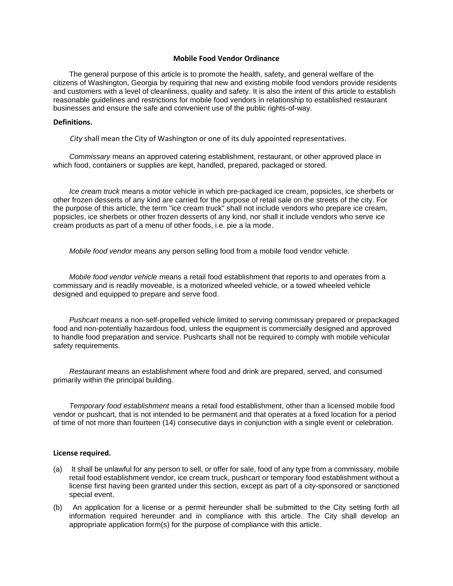#### **Mobile Food Vendor Ordinance**

The general purpose of this article is to promote the health, safety, and general welfare of the citizens of Washington, Georgia by requiring that new and existing mobile food vendors provide residents and customers with a level of cleanliness, quality and safety. It is also the intent of this article to establish reasonable guidelines and restrictions for mobile food vendors in relationship to established restaurant businesses and ensure the safe and convenient use of the public rights-of-way.

#### **Definitions.**

*City* shall mean the City of Washington or one of its duly appointed representatives.

*Commissary* means an approved catering establishment, restaurant, or other approved place in which food, containers or supplies are kept, handled, prepared, packaged or stored.

*Ice cream truck* means a motor vehicle in which pre-packaged ice cream, popsicles, ice sherbets or other frozen desserts of any kind are carried for the purpose of retail sale on the streets of the city. For the purpose of this article, the term "ice cream truck" shall not include vendors who prepare ice cream, popsicles, ice sherbets or other frozen desserts of any kind, nor shall it include vendors who serve ice cream products as part of a menu of other foods, i.e. pie a la mode.

*Mobile food vendor* means any person selling food from a mobile food vendor vehicle.

*Mobile food vendor vehicle* means a retail food establishment that reports to and operates from a commissary and is readily moveable, is a motorized wheeled vehicle, or a towed wheeled vehicle designed and equipped to prepare and serve food.

*Pushcart* means a non-self-propelled vehicle limited to serving commissary prepared or prepackaged food and non-potentially hazardous food, unless the equipment is commercially designed and approved to handle food preparation and service. Pushcarts shall not be required to comply with mobile vehicular safety requirements.

*Restaurant* means an establishment where food and drink are prepared, served, and consumed primarily within the principal building.

*Temporary food establishment* means a retail food establishment, other than a licensed mobile food vendor or pushcart, that is not intended to be permanent and that operates at a fixed location for a period of time of not more than fourteen (14) consecutive days in conjunction with a single event or celebration.

#### **License required.**

- (a) It shall be unlawful for any person to sell, or offer for sale, food of any type from a commissary, mobile retail food establishment vendor, ice cream truck, pushcart or temporary food establishment without a license first having been granted under this section, except as part of a city-sponsored or sanctioned special event.
- (b) An application for a license or a permit hereunder shall be submitted to the City setting forth all information required hereunder and in compliance with this article. The City shall develop an appropriate application form(s) for the purpose of compliance with this article.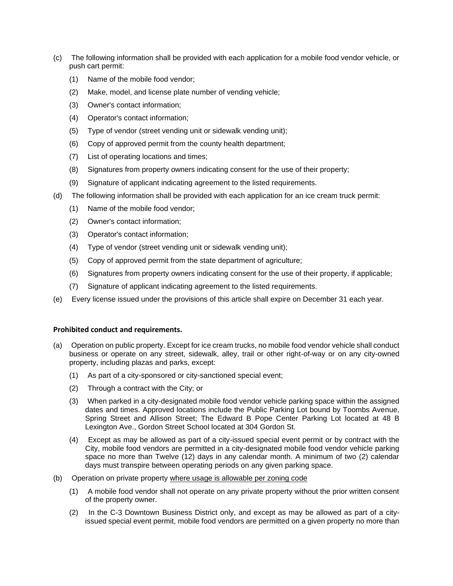- (c) The following information shall be provided with each application for a mobile food vendor vehicle, or push cart permit:
	- (1) Name of the mobile food vendor;
	- (2) Make, model, and license plate number of vending vehicle;
	- (3) Owner's contact information;
	- (4) Operator's contact information;
	- (5) Type of vendor (street vending unit or sidewalk vending unit);
	- (6) Copy of approved permit from the county health department;
	- (7) List of operating locations and times;
	- (8) Signatures from property owners indicating consent for the use of their property;
	- (9) Signature of applicant indicating agreement to the listed requirements.
- (d) The following information shall be provided with each application for an ice cream truck permit:
	- (1) Name of the mobile food vendor;
	- (2) Owner's contact information;
	- (3) Operator's contact information;
	- (4) Type of vendor (street vending unit or sidewalk vending unit);
	- (5) Copy of approved permit from the state department of agriculture;
	- (6) Signatures from property owners indicating consent for the use of their property, if applicable;
	- (7) Signature of applicant indicating agreement to the listed requirements.
- (e) Every license issued under the provisions of this article shall expire on December 31 each year.

# **Prohibited conduct and requirements.**

- (a) Operation on public property. Except for ice cream trucks, no mobile food vendor vehicle shall conduct business or operate on any street, sidewalk, alley, trail or other right-of-way or on any city-owned property, including plazas and parks, except:
	- (1) As part of a city-sponsored or city-sanctioned special event;
	- (2) Through a contract with the City; or
	- (3) When parked in a city-designated mobile food vendor vehicle parking space within the assigned dates and times. Approved locations include the Public Parking Lot bound by Toombs Avenue, Spring Street and Allison Street; The Edward B Pope Center Parking Lot located at 48 B Lexington Ave., Gordon Street School located at 304 Gordon St.
	- (4) Except as may be allowed as part of a city-issued special event permit or by contract with the City, mobile food vendors are permitted in a city-designated mobile food vendor vehicle parking space no more than Twelve (12) days in any calendar month. A minimum of two (2) calendar days must transpire between operating periods on any given parking space.
- (b) Operation on private property where usage is allowable per zoning code
	- (1) A mobile food vendor shall not operate on any private property without the prior written consent of the property owner.
	- (2) In the C-3 Downtown Business District only, and except as may be allowed as part of a cityissued special event permit, mobile food vendors are permitted on a given property no more than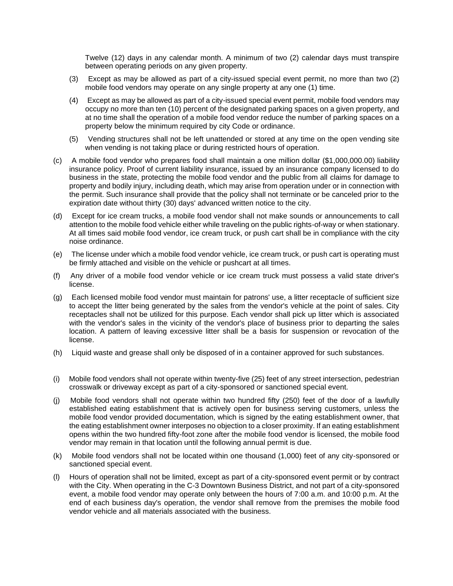Twelve (12) days in any calendar month. A minimum of two (2) calendar days must transpire between operating periods on any given property.

- (3) Except as may be allowed as part of a city-issued special event permit, no more than two (2) mobile food vendors may operate on any single property at any one (1) time.
- (4) Except as may be allowed as part of a city-issued special event permit, mobile food vendors may occupy no more than ten (10) percent of the designated parking spaces on a given property, and at no time shall the operation of a mobile food vendor reduce the number of parking spaces on a property below the minimum required by city Code or ordinance.
- (5) Vending structures shall not be left unattended or stored at any time on the open vending site when vending is not taking place or during restricted hours of operation.
- (c) A mobile food vendor who prepares food shall maintain a one million dollar (\$1,000,000.00) liability insurance policy. Proof of current liability insurance, issued by an insurance company licensed to do business in the state, protecting the mobile food vendor and the public from all claims for damage to property and bodily injury, including death, which may arise from operation under or in connection with the permit. Such insurance shall provide that the policy shall not terminate or be canceled prior to the expiration date without thirty (30) days' advanced written notice to the city.
- (d) Except for ice cream trucks, a mobile food vendor shall not make sounds or announcements to call attention to the mobile food vehicle either while traveling on the public rights-of-way or when stationary. At all times said mobile food vendor, ice cream truck, or push cart shall be in compliance with the city noise ordinance.
- (e) The license under which a mobile food vendor vehicle, ice cream truck, or push cart is operating must be firmly attached and visible on the vehicle or pushcart at all times.
- (f) Any driver of a mobile food vendor vehicle or ice cream truck must possess a valid state driver's license.
- (g) Each licensed mobile food vendor must maintain for patrons' use, a litter receptacle of sufficient size to accept the litter being generated by the sales from the vendor's vehicle at the point of sales. City receptacles shall not be utilized for this purpose. Each vendor shall pick up litter which is associated with the vendor's sales in the vicinity of the vendor's place of business prior to departing the sales location. A pattern of leaving excessive litter shall be a basis for suspension or revocation of the license.
- (h) Liquid waste and grease shall only be disposed of in a container approved for such substances.
- (i) Mobile food vendors shall not operate within twenty-five (25) feet of any street intersection, pedestrian crosswalk or driveway except as part of a city-sponsored or sanctioned special event.
- (j) Mobile food vendors shall not operate within two hundred fifty (250) feet of the door of a lawfully established eating establishment that is actively open for business serving customers, unless the mobile food vendor provided documentation, which is signed by the eating establishment owner, that the eating establishment owner interposes no objection to a closer proximity. If an eating establishment opens within the two hundred fifty-foot zone after the mobile food vendor is licensed, the mobile food vendor may remain in that location until the following annual permit is due.
- (k) Mobile food vendors shall not be located within one thousand (1,000) feet of any city-sponsored or sanctioned special event.
- (l) Hours of operation shall not be limited, except as part of a city-sponsored event permit or by contract with the City. When operating in the C-3 Downtown Business District, and not part of a city-sponsored event, a mobile food vendor may operate only between the hours of 7:00 a.m. and 10:00 p.m. At the end of each business day's operation, the vendor shall remove from the premises the mobile food vendor vehicle and all materials associated with the business.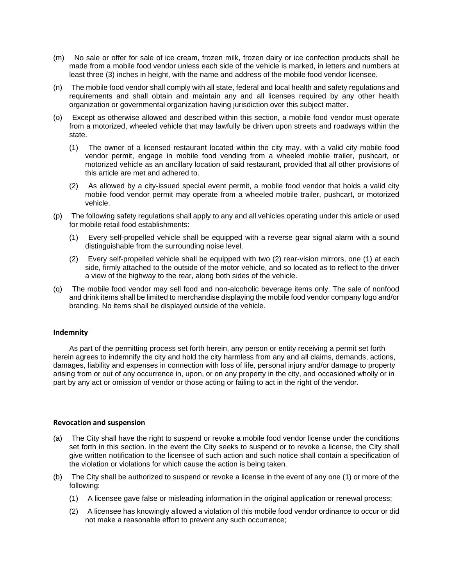- (m) No sale or offer for sale of ice cream, frozen milk, frozen dairy or ice confection products shall be made from a mobile food vendor unless each side of the vehicle is marked, in letters and numbers at least three (3) inches in height, with the name and address of the mobile food vendor licensee.
- (n) The mobile food vendor shall comply with all state, federal and local health and safety regulations and requirements and shall obtain and maintain any and all licenses required by any other health organization or governmental organization having jurisdiction over this subject matter.
- (o) Except as otherwise allowed and described within this section, a mobile food vendor must operate from a motorized, wheeled vehicle that may lawfully be driven upon streets and roadways within the state.
	- (1) The owner of a licensed restaurant located within the city may, with a valid city mobile food vendor permit, engage in mobile food vending from a wheeled mobile trailer, pushcart, or motorized vehicle as an ancillary location of said restaurant, provided that all other provisions of this article are met and adhered to.
	- (2) As allowed by a city-issued special event permit, a mobile food vendor that holds a valid city mobile food vendor permit may operate from a wheeled mobile trailer, pushcart, or motorized vehicle.
- (p) The following safety regulations shall apply to any and all vehicles operating under this article or used for mobile retail food establishments:
	- (1) Every self-propelled vehicle shall be equipped with a reverse gear signal alarm with a sound distinguishable from the surrounding noise level.
	- (2) Every self-propelled vehicle shall be equipped with two (2) rear-vision mirrors, one (1) at each side, firmly attached to the outside of the motor vehicle, and so located as to reflect to the driver a view of the highway to the rear, along both sides of the vehicle.
- (q) The mobile food vendor may sell food and non-alcoholic beverage items only. The sale of nonfood and drink items shall be limited to merchandise displaying the mobile food vendor company logo and/or branding. No items shall be displayed outside of the vehicle.

# **Indemnity**

As part of the permitting process set forth herein, any person or entity receiving a permit set forth herein agrees to indemnify the city and hold the city harmless from any and all claims, demands, actions, damages, liability and expenses in connection with loss of life, personal injury and/or damage to property arising from or out of any occurrence in, upon, or on any property in the city, and occasioned wholly or in part by any act or omission of vendor or those acting or failing to act in the right of the vendor.

### **Revocation and suspension**

- (a) The City shall have the right to suspend or revoke a mobile food vendor license under the conditions set forth in this section. In the event the City seeks to suspend or to revoke a license, the City shall give written notification to the licensee of such action and such notice shall contain a specification of the violation or violations for which cause the action is being taken.
- (b) The City shall be authorized to suspend or revoke a license in the event of any one (1) or more of the following:
	- (1) A licensee gave false or misleading information in the original application or renewal process;
	- (2) A licensee has knowingly allowed a violation of this mobile food vendor ordinance to occur or did not make a reasonable effort to prevent any such occurrence;